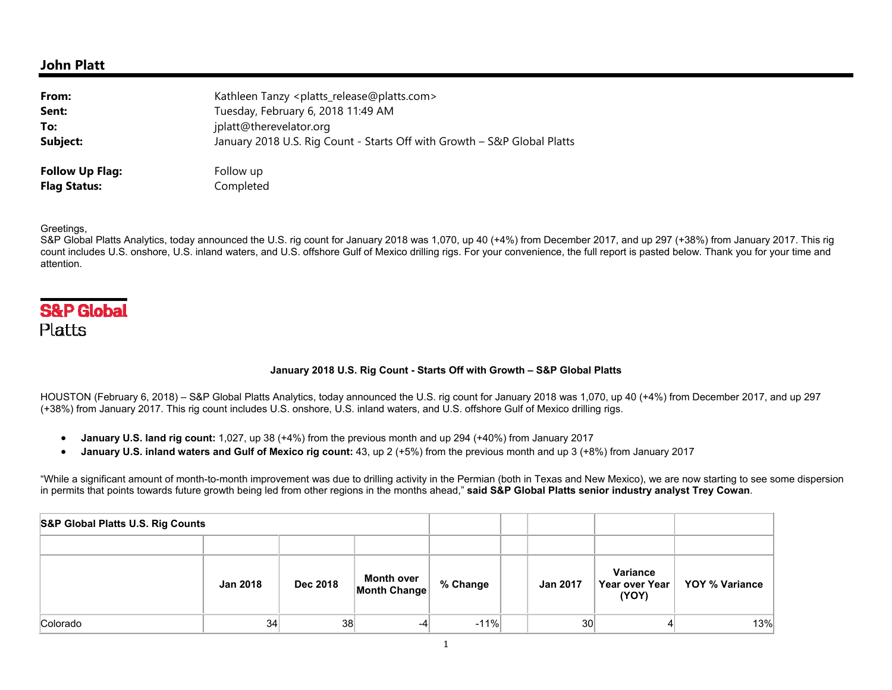# **John Platt**

| From:                  | Kathleen Tanzy <platts_release@platts.com></platts_release@platts.com>   |  |  |  |  |  |  |
|------------------------|--------------------------------------------------------------------------|--|--|--|--|--|--|
| Sent:                  | Tuesday, February 6, 2018 11:49 AM                                       |  |  |  |  |  |  |
| To:                    | jplatt@therevelator.org                                                  |  |  |  |  |  |  |
| Subject:               | January 2018 U.S. Rig Count - Starts Off with Growth - S&P Global Platts |  |  |  |  |  |  |
| <b>Follow Up Flag:</b> | Follow up                                                                |  |  |  |  |  |  |
| <b>Flag Status:</b>    | Completed                                                                |  |  |  |  |  |  |

Greetings,

S&P Global Platts Analytics, today announced the U.S. rig count for January 2018 was 1,070, up 40 (+4%) from December 2017, and up 297 (+38%) from January 2017. This rig count includes U.S. onshore, U.S. inland waters, and U.S. offshore Gulf of Mexico drilling rigs. For your convenience, the full report is pasted below. Thank you for your time and attention.

# **S&P Global Platts**

## **January 2018 U.S. Rig Count - Starts Off with Growth – S&P Global Platts**

HOUSTON (February 6, 2018) – S&P Global Platts Analytics, today announced the U.S. rig count for January 2018 was 1,070, up 40 (+4%) from December 2017, and up 297 (+38%) from January 2017. This rig count includes U.S. onshore, U.S. inland waters, and U.S. offshore Gulf of Mexico drilling rigs.

- $\bullet$ **January U.S. land rig count:** 1,027, up 38 (+4%) from the previous month and up 294 (+40%) from January 2017
- $\bullet$ **January U.S. inland waters and Gulf of Mexico rig count:** 43, up 2 (+5%) from the previous month and up 3 (+8%) from January 2017

"While a significant amount of month-to-month improvement was due to drilling activity in the Permian (both in Texas and New Mexico), we are now starting to see some dispersion in permits that points towards future growth being led from other regions in the months ahead," **said S&P Global Platts senior industry analyst Trey Cowan**.

| <b>S&amp;P Global Platts U.S. Rig Counts</b> |                 |                 |                            |          |                 |                                     |                |
|----------------------------------------------|-----------------|-----------------|----------------------------|----------|-----------------|-------------------------------------|----------------|
|                                              |                 |                 |                            |          |                 |                                     |                |
|                                              | <b>Jan 2018</b> | <b>Dec 2018</b> | Month over<br>Month Change | % Change | <b>Jan 2017</b> | Variance<br>Year over Year<br>(YOY) | YOY % Variance |
| Colorado                                     | 34              | 38              |                            | $-11%$   | 30              |                                     | 13%            |